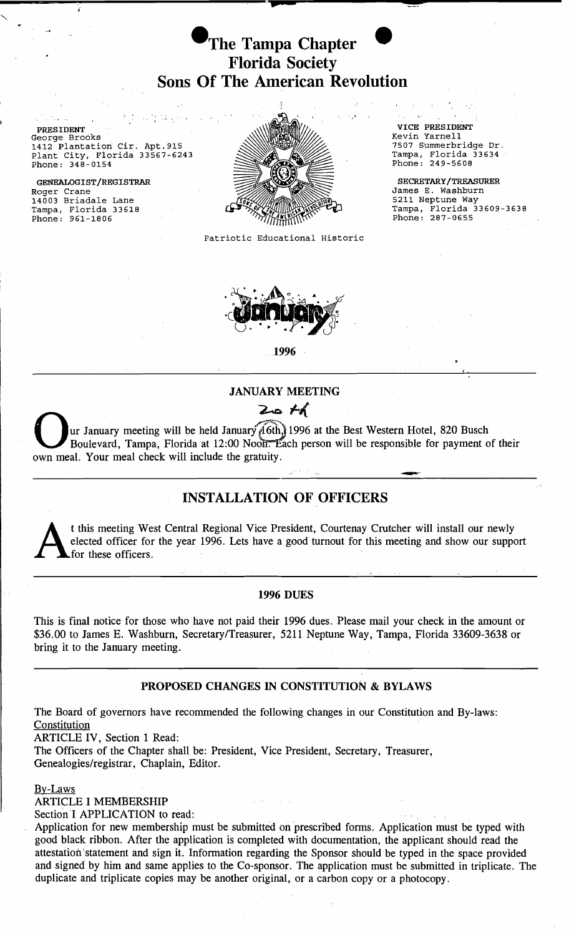

.1

-p

PRESIDENT VICE PRESIDENT VICE PRESIDENT VICE PRESIDENT VICE PRESIDENT George Brooks<br>1412 Plantation Cir. Apt.915 New World West (1997) 800 Million Revin Yarnell<br>1412 Plantation Cir. Apt.915 New York (1997) 900 Million Revin Yarnerbr Plant City, Florida 33567-6243 **Tampa, Florida 33634** 

Roger Crane GENEALOGIST/REGISTRAR 11003 Briadale Lane<br>Tampa, Florida 33618  $Phone: 961-1806$ 



Patriotic Educational Historic

.1996

#### JANUARY MEETING

# $Z_{\bullet}$  th

- ur January meeting will be held January 16th.) 1996 at the Best Western Hotel, 820 Busch Boulevard, Tampa, Florida at 12:00 Noon. Each person will be responsible for payment of their own meal. Your meal check will include the gratuity.

# INSTALLATION OF OFFICERS

t this meeting West Central Regional Vice President, Courtenay Crutcher will install our newly elected officer for the year 1996. Lets have a good turnout for this meeting and show our support for these officers. elected officer for the year 1996. Lets have a good turnout for this meeting and show our support for these officers.

#### 1996 DUES

This is final notice for those who have not paid their 1996 dues. Please mail your check in the amount or \$36.00 to James E. Washburn, Secretary/Treasurer, 5211 Neptune Way, Tampa, Florida 33609-3638 or bring it to the January meeting.

# PROPOSED CHANGES IN CONSTITUTION & BYLAWS

The Board of governors have recommended the following changes in our Constitution and By-laws: **Constitution** 

ARTICLE IV, Section 1 Read:

The Officers of the Chapter shall be: President, Vice President, Secretary, Treasurer, Genealogies/registrar, Chaplain, Editor.

By-Laws

ARTICLE I MEMBERSHIP

Section I APPLICATION to read:

Application for new membership must be submitted on prescribed forms. Application must be typed with good black ribbon. After the application is completed with documentation, the applicant should read the attestation'statement and sign it. Information regarding the Sponsor should be typed in the space provided and signed by him and same applies to the Co-sponsor. The application must be submitted in triplicate. The duplicate and triplicate copies may be another original, or a carbon copy or a photocopy.

1507 Summerbridge Dr.<br>Tampa, Florida 33634

SECRETARY/TREASURER James E. Washburn Tampa, Florida 33609-3638<br>Phone: 287-0655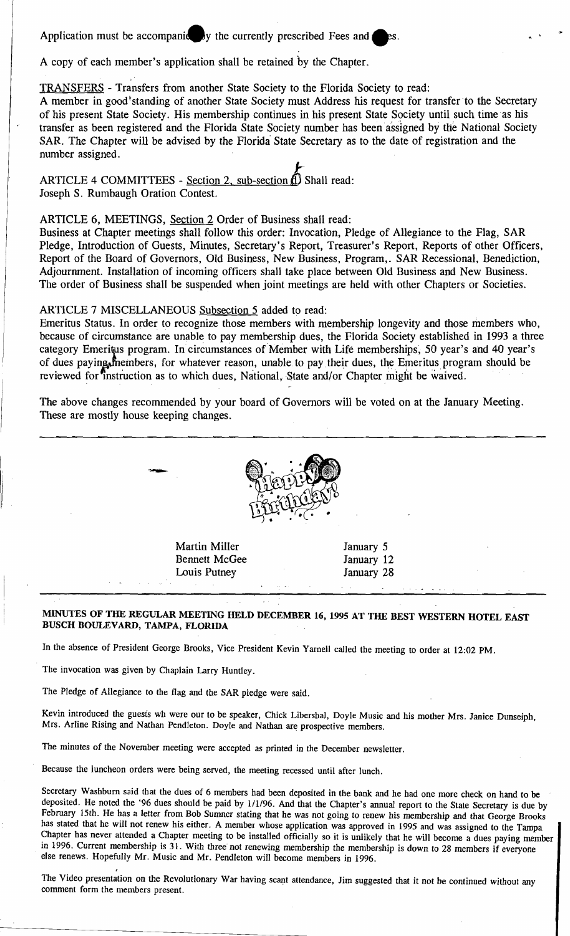Application must be accompanie by the currently prescribed Fees and  $\mu$ 

A copy of each member's application shall be retained by the Chapter.

> •

TRANSFERS - Transfers from another State Society to the Florida Society to read:

A member in good standing of another State Society must Address his request for transfer to the Secretary of his present State Society. His membership continues in his present State Society until such time· as his transfer as been registered and the Florida State Society number has been assigned by the National Society SAR. The Chapter will be advised by the Florida State Secretary as to the date of registration and the number assigned.

ARTICLE 4 COMMITTEES - Section 2, sub-section  $\overrightarrow{A}$ ) Shall read: Joseph S. Rumbaugh Oration Contest.

# ARTICLE 6, MEETINGS, Section 2 Order of Business shall read:

Business at Chapter meetings shall follow this order: Invocation, Pledge of Allegiance to the Flag, SAR Pledge, Introduction of Guests, Minutes, Secretary's Report, Treasurer's Report, Reports of other Officers, Report of the Board of Governors, Old Business, New Business, Program,. SAR Recessional, Benediction, Adjournment. Installation of incoming officers shall take place between Old Business and New Business. The order of Business shall be suspended when joint meetings are held with other Chapters or Societies.

ARTICLE 7 MISCELLANEOUS Subsection 5 added to read:

Emeritus Status. In order to recognize those members with membership longevity and those members who, because of circumstance are unable to pay membership dues, the Florida Society established in 1993 a three category Emeritus program. In circumstances of Member with Life memberships, 50 year's and 40 year's of dues paying members, for whatever reason, unable to pay their dues, the Emeritus program should be reviewed for instruction as to which dues, National, State and/or Chapter might be waived.

The above changes recommended by your board of Governors will be voted on at the January Meeting. These are mostly house keeping changes.



Martin Miller **January 5** Bennett McGee January 12 Louis Putney January 28

### MINUTES OF THE REGULAR MEETING HELD DECEMBER 16, 1995 AT THE BEST WESTERN HOTEL EAST BUSCH BOULEVARD, TAMPA, FLORIDA

In the absence of President George Brooks, Vice President Kevin Yarnell called the meeting to order at 12:02 PM.

The invocation was given by Chaplain Larry Huntley.

--

The Pledge of Allegiance to the flag and the SAR pledge were said.

Kevin introduced the guests wh were our to be speaker, Chick Libershal, Doyle Music and his mother Mrs. Janice Dunseiph, Mrs. Arline Rising and Nathan Pendleton. Doyle and Nathan are prospective members.

The minutes of the November meeting were accepted as printed in the December newsletter.

Because the luncheon orders were being served, the meeting recessed until after lunch.

Secretary Washburn said that the dues of 6 members had been deposited in the bank and he had one more check on hand to be deposited. He noted the '96 dues should be paid by 1/1/96. And that the Chapter's annual report to the State Secretary is due by February 15th. He has a letter from Bob Sumner stating that he was not going to renew his membership and that George Brooks has stated that he will not renew his either: A member whose application was approved in 1995 and was assigned to the Tampa Chapter has never attended a Chapter meeting to be installed officially so it is unlikely that he will become a dues paying member in 1996. Current membership is 31. With three not renewing membership the membership is down to 28 members if everyone else renews. Hopefully Mr. Music and Mr. Pendleton will become members in 1996.

The Video presentation on the Revolutionary War having scant attendance, Jim suggested that it not be continued without any comment form the members present.